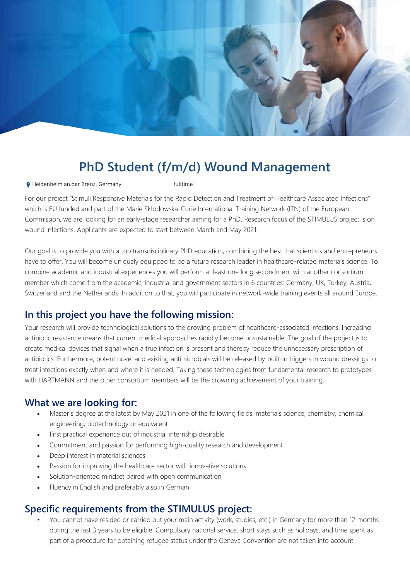

# **PhD Student (f/m/d) Wound Management**

**9** Heidenheim an der Brenz, Germany **Fulltime** 

For our project "Stimuli Responsive Materials for the Rapid Detection and Treatment of Healthcare Associated Infections" which is EU funded and part of the Marie Skłodowska-Curie International Training Network (ITN) of the European Commission, we are looking for an early-stage researcher aiming for a PhD. Research focus of the STIMULUS project is on wound infections. Applicants are expected to start between March and May 2021.

Our goal is to provide you with a top transdisciplinary PhD education, combining the best that scientists and entrepreneurs have to offer. You will become uniquely equipped to be a future research leader in healthcare-related materials science. To combine academic and industrial experiences you will perform at least one long secondment with another consortium member which come from the academic, industrial and government sectors in 6 countries: Germany, UK, Turkey, Austria, Switzerland and the Netherlands. In addition to that, you will participate in network-wide training events all around Europe.

## **In this project you have the following mission:**

Your research will provide technological solutions to the growing problem of healthcare-associated infections. Increasing antibiotic resistance means that current medical approaches rapidly become unsustainable. The goal of the project is to create medical devices that signal when a true infection is present and thereby reduce the unnecessary prescription of antibiotics. Furthermore, potent novel and existing antimicrobials will be released by built-in triggers in wound dressings to treat infections exactly when and where it is needed. Taking these technologies from fundamental research to prototypes with HARTMANN and the other consortium members will be the crowning achievement of your training.

#### **What we are looking for:**

- Master´s degree at the latest by May 2021 in one of the following fields: materials science, chemistry, chemical engineering, biotechnology or equivalent
- First practical experience out of industrial internship desirable
- Commitment and passion for performing high-quality research and development
- Deep interest in material sciences
- Passion for improving the healthcare sector with innovative solutions
- Solution-oriented mindset paired with open communication
- Fluency in English and preferably also in German

#### **Specific requirements from the STIMULUS project:**

• You cannot have resided or carried out your main activity (work, studies, etc.) in Germany for more than 12 months during the last 3 years to be eligible. Compulsory national service, short stays such as holidays, and time spent as part of a procedure for obtaining refugee status under the Geneva Convention are not taken into account.